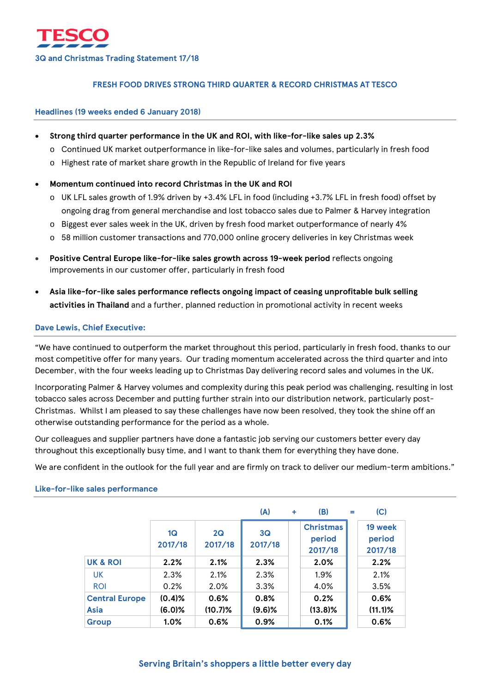# **FRESH FOOD DRIVES STRONG THIRD QUARTER & RECORD CHRISTMAS AT TESCO**

## **Headlines (19 weeks ended 6 January 2018)**

- **Strong third quarter performance in the UK and ROI, with like-for-like sales up 2.3%**
	- o Continued UK market outperformance in like-for-like sales and volumes, particularly in fresh food
	- o Highest rate of market share growth in the Republic of Ireland for five years
- **Momentum continued into record Christmas in the UK and ROI**
	- o UK LFL sales growth of 1.9% driven by +3.4% LFL in food (including +3.7% LFL in fresh food) offset by ongoing drag from general merchandise and lost tobacco sales due to Palmer & Harvey integration
	- o Biggest ever sales week in the UK, driven by fresh food market outperformance of nearly 4%
	- $\circ$  58 million customer transactions and 770,000 online grocery deliveries in key Christmas week
- **Positive Central Europe like-for-like sales growth across 19-week period** reflects ongoing improvements in our customer offer, particularly in fresh food
- **Asia like-for-like sales performance reflects ongoing impact of ceasing unprofitable bulk selling activities in Thailand** and a further, planned reduction in promotional activity in recent weeks

## **Dave Lewis, Chief Executive:**

"We have continued to outperform the market throughout this period, particularly in fresh food, thanks to our most competitive offer for many years. Our trading momentum accelerated across the third quarter and into December, with the four weeks leading up to Christmas Day delivering record sales and volumes in the UK.

Incorporating Palmer & Harvey volumes and complexity during this peak period was challenging, resulting in lost tobacco sales across December and putting further strain into our distribution network, particularly post-Christmas. Whilst I am pleased to say these challenges have now been resolved, they took the shine off an otherwise outstanding performance for the period as a whole.

Our colleagues and supplier partners have done a fantastic job serving our customers better every day throughout this exceptionally busy time, and I want to thank them for everything they have done.

We are confident in the outlook for the full year and are firmly on track to deliver our medium-term ambitions."

|                       |               |               | (A)           | ÷ | (B)                                   | $=$ | (C)                          |
|-----------------------|---------------|---------------|---------------|---|---------------------------------------|-----|------------------------------|
|                       | 1Q<br>2017/18 | 2Q<br>2017/18 | 3Q<br>2017/18 |   | <b>Christmas</b><br>period<br>2017/18 |     | 19 week<br>period<br>2017/18 |
| <b>UK &amp; ROI</b>   | 2.2%          | 2.1%          | 2.3%          |   | 2.0%                                  |     | 2.2%                         |
| <b>UK</b>             | 2.3%          | 2.1%          | 2.3%          |   | 1.9%                                  |     | 2.1%                         |
| <b>ROI</b>            | 0.2%          | 2.0%          | 3.3%          |   | 4.0%                                  |     | 3.5%                         |
| <b>Central Europe</b> | $(0.4)$ %     | 0.6%          | 0.8%          |   | 0.2%                                  |     | 0.6%                         |
| <b>Asia</b>           | $(6.0)$ %     | $(10.7)\%$    | $(9.6)$ %     |   | $(13.8)\%$                            |     | $(11.1)\%$                   |
| <b>Group</b>          | 1.0%          | 0.6%          | 0.9%          |   | 0.1%                                  |     | 0.6%                         |

### **Like-for-like sales performance**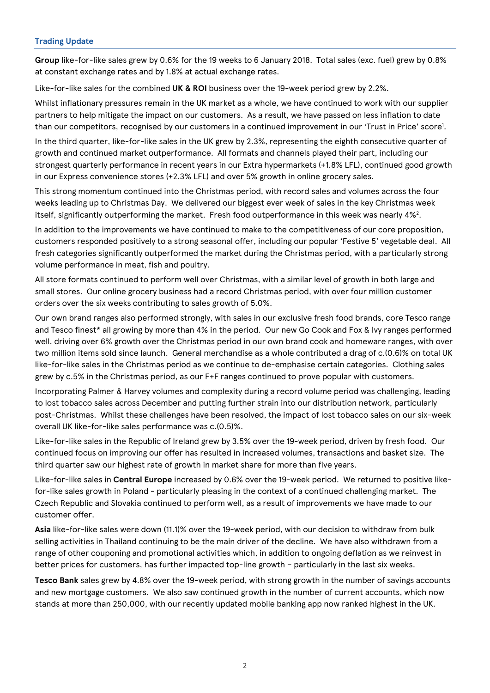# **Trading Update**

**Group** like-for-like sales grew by 0.6% for the 19 weeks to 6 January 2018. Total sales (exc. fuel) grew by 0.8% at constant exchange rates and by 1.8% at actual exchange rates.

Like-for-like sales for the combined **UK & ROI** business over the 19-week period grew by 2.2%.

Whilst inflationary pressures remain in the UK market as a whole, we have continued to work with our supplier partners to help mitigate the impact on our customers. As a result, we have passed on less inflation to date than our competitors, recognised by our customers in a continued improvement in our 'Trust in Price' score<sup>1</sup>.

In the third quarter, like-for-like sales in the UK grew by 2.3%, representing the eighth consecutive quarter of growth and continued market outperformance. All formats and channels played their part, including our strongest quarterly performance in recent years in our Extra hypermarkets (+1.8% LFL), continued good growth in our Express convenience stores (+2.3% LFL) and over 5% growth in online grocery sales.

This strong momentum continued into the Christmas period, with record sales and volumes across the four weeks leading up to Christmas Day. We delivered our biggest ever week of sales in the key Christmas week itself, significantly outperforming the market. Fresh food outperformance in this week was nearly 4% $^2\!$ .

In addition to the improvements we have continued to make to the competitiveness of our core proposition, customers responded positively to a strong seasonal offer, including our popular 'Festive 5' vegetable deal. All fresh categories significantly outperformed the market during the Christmas period, with a particularly strong volume performance in meat, fish and poultry.

All store formats continued to perform well over Christmas, with a similar level of growth in both large and small stores. Our online grocery business had a record Christmas period, with over four million customer orders over the six weeks contributing to sales growth of 5.0%.

Our own brand ranges also performed strongly, with sales in our exclusive fresh food brands, core Tesco range and Tesco finest\* all growing by more than 4% in the period. Our new Go Cook and Fox & Ivy ranges performed well, driving over 6% growth over the Christmas period in our own brand cook and homeware ranges, with over two million items sold since launch. General merchandise as a whole contributed a drag of c.(0.6)% on total UK like-for-like sales in the Christmas period as we continue to de-emphasise certain categories. Clothing sales grew by c.5% in the Christmas period, as our F+F ranges continued to prove popular with customers.

Incorporating Palmer & Harvey volumes and complexity during a record volume period was challenging, leading to lost tobacco sales across December and putting further strain into our distribution network, particularly post-Christmas. Whilst these challenges have been resolved, the impact of lost tobacco sales on our six-week overall UK like-for-like sales performance was c.(0.5)%.

Like-for-like sales in the Republic of Ireland grew by 3.5% over the 19-week period, driven by fresh food. Our continued focus on improving our offer has resulted in increased volumes, transactions and basket size. The third quarter saw our highest rate of growth in market share for more than five years.

Like-for-like sales in **Central Europe** increased by 0.6% over the 19-week period. We returned to positive likefor-like sales growth in Poland - particularly pleasing in the context of a continued challenging market. The Czech Republic and Slovakia continued to perform well, as a result of improvements we have made to our customer offer.

**Asia** like-for-like sales were down (11.1)% over the 19-week period, with our decision to withdraw from bulk selling activities in Thailand continuing to be the main driver of the decline. We have also withdrawn from a range of other couponing and promotional activities which, in addition to ongoing deflation as we reinvest in better prices for customers, has further impacted top-line growth – particularly in the last six weeks.

**Tesco Bank** sales grew by 4.8% over the 19-week period, with strong growth in the number of savings accounts and new mortgage customers. We also saw continued growth in the number of current accounts, which now stands at more than 250,000, with our recently updated mobile banking app now ranked highest in the UK.